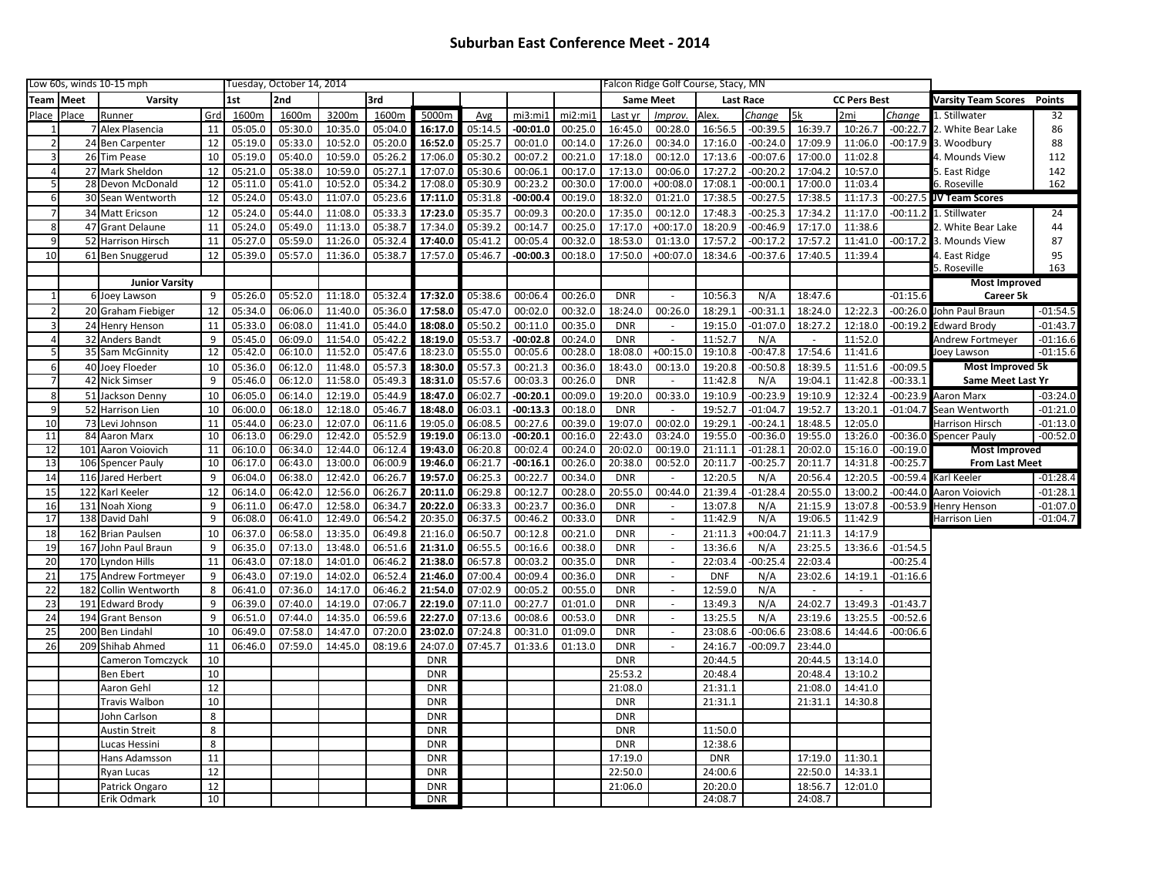| Low 60s, winds 10-15 mph |                 |                         |            | Tuesday, October 14, 2014 |         |         |         |            |         |            | Falcon Ridge Golf Course, Stacy, MN |            |                |                  |                     |               |         |                                   |                         |            |
|--------------------------|-----------------|-------------------------|------------|---------------------------|---------|---------|---------|------------|---------|------------|-------------------------------------|------------|----------------|------------------|---------------------|---------------|---------|-----------------------------------|-------------------------|------------|
| Team                     | Meet<br>Varsity |                         | 1st<br>2nd |                           |         | 3rd     |         |            |         |            | <b>Same Meet</b>                    |            |                | <b>Last Race</b> | <b>CC Pers Best</b> |               |         | <b>Varsity Team Scores</b> Points |                         |            |
| Place                    | Place           | Runner                  | Grd        | 1600m                     | 1600m   | 3200m   | 1600m   | 5000m      | Avg     | mi3:mi1    | mi2:mi1                             | Last yr    | Improv.        | Alex.            | Change              | 5k            | 2mi     | Change                            | 1. Stillwater           | 32         |
|                          |                 | 7 Alex Plasencia        | 11         | 05:05.0                   | 05:30.0 | 10:35.0 | 05:04.0 | 16:17.0    | 05:14.5 | $-00:01.0$ | 00:25.0                             | 16:45.0    | 00:28.0        | 16:56.5          | $-00:39.5$          | 16:39.7       | 10:26.7 | $-00:22.7$                        | 2. White Bear Lake      | 86         |
|                          |                 | 24 Ben Carpenter        | 12         | 05:19.0                   | 05:33.0 | 10:52.0 | 05:20.0 | 16:52.0    | 05:25.7 | 00:01.0    | 00:14.0                             | 17:26.0    | 00:34.0        | 17:16.0          | $-00:24.0$          | 17:09.9       | 11:06.0 |                                   | $-00:17.9$ 3. Woodbury  | 88         |
| 3                        |                 | 26 Tim Pease            | 10         | 05:19.0                   | 05:40.0 | 10:59.0 | 05:26.2 | 17:06.0    | 05:30.2 | 00:07.2    | 00:21.0                             | 17:18.0    | 00:12.0        | 17:13.6          | $-00:07.6$          | 17:00.0       | 11:02.8 |                                   | 4. Mounds View          | 112        |
| $\overline{4}$           |                 | 27 Mark Sheldon         | 12         | 05:21.0                   | 05:38.0 | 10:59.0 | 05:27.1 | 17:07.0    | 05:30.6 | 00:06.1    | 00:17.0                             | 17:13.0    | 00:06.0        | 17:27.2          | $-00:20.2$          | 17:04.2       | 10:57.0 |                                   | 5. East Ridge           | 142        |
| 5 <sup>1</sup>           |                 | 28 Devon McDonald       | 12         | 05:11.0                   | 05:41.0 | 10:52.0 | 05:34.2 | 17:08.0    | 05:30.9 | 00:23.2    | 00:30.0                             | 17:00.0    | $+00:08.0$     | 17:08.1          | $-00:00.1$          | 17:00.0       | 11:03.4 |                                   | 6. Roseville            | 162        |
| $6 \mid$                 |                 | 30 Sean Wentworth       | 12         | 05:24.0                   | 05:43.0 | 11:07.0 | 05:23.6 | 17:11.0    | 05:31.8 | $-00:00.4$ | 00:19.0                             | 18:32.0    | 01:21.0        | 17:38.5          | $-00:27.5$          | 17:38.5       | 11:17.3 |                                   | -00:27.5 JV Team Scores |            |
| $\overline{7}$           |                 | 34 Matt Ericson         | 12         | 05:24.0                   | 05:44.0 | 11:08.0 | 05:33.3 | 17:23.0    | 05:35.7 | 00:09.3    | 00:20.0                             | 17:35.0    | 00:12.0        | 17:48.3          | $-00:25.3$          | 17:34.2       | 11:17.0 | $-00:11.2$                        | 1. Stillwater           | 24         |
| 8 <sup>1</sup>           |                 | 47 Grant Delaune        | 11         | 05:24.0                   | 05:49.0 | 11:13.0 | 05:38.7 | 17:34.0    | 05:39.2 | 00:14.7    | 00:25.0                             | 17:17.0    | $+00:17.0$     | 18:20.9          | $-00:46.9$          | 17:17.0       | 11:38.6 |                                   | 2. White Bear Lake      | 44         |
| $\overline{9}$           |                 | 52 Harrison Hirsch      | 11         | 05:27.0                   | 05:59.0 | 11:26.0 | 05:32.4 | 17:40.0    | 05:41.2 | 00:05.4    | 00:32.0                             | 18:53.0    | 01:13.0        | 17:57.2          | $-00:17.2$          | 17:57.2       | 11:41.0 | $-00:17.2$                        | 3. Mounds View          | 87         |
| 10                       |                 | 61 Ben Snuggerud        | 12         | 05:39.0                   | 05:57.0 | 11:36.0 | 05:38.7 | 17:57.0    | 05:46.7 | $-00:00.3$ | 00:18.0                             | 17:50.0    | $+00:07.0$     | 18:34.6          | $-00:37.6$          | 17:40.5       | 11:39.4 |                                   | 4. East Ridge           | 95         |
|                          |                 |                         |            |                           |         |         |         |            |         |            |                                     |            |                |                  |                     |               |         |                                   | 5. Roseville            | 163        |
|                          |                 | <b>Junior Varsity</b>   |            |                           |         |         |         |            |         |            |                                     |            |                |                  |                     |               |         |                                   | <b>Most Improved</b>    |            |
|                          |                 | 6 Joey Lawson           | 9          | 05:26.0                   | 05:52.0 | 11:18.0 | 05:32.4 | 17:32.0    | 05:38.6 | 00:06.4    | 00:26.0                             | <b>DNR</b> |                | 10:56.3          | N/A                 | 18:47.6       |         | $-01:15.6$                        | Career 5k               |            |
| $\overline{2}$           |                 | 20 Graham Fiebiger      | 12         | 05:34.0                   | 06:06.0 | 11:40.0 | 05:36.0 | 17:58.0    | 05:47.0 | 00:02.0    | 00:32.0                             | 18:24.0    | 00:26.0        | 18:29.1          | $-00:31.1$          | 18:24.0       | 12:22.3 | $-00:26.0$                        | John Paul Braun         | $-01:54.5$ |
| з                        |                 | 24 Henry Henson         | 11         | 05:33.0                   | 06:08.0 | 11:41.0 | 05:44.0 | 18:08.0    | 05:50.2 | 00:11.0    | 00:35.0                             | <b>DNR</b> | $\sim$         | 19:15.0          | $-01:07.0$          | 18:27.2       | 12:18.0 | $-00:19.2$                        | Edward Brody            | $-01:43.7$ |
| $\overline{4}$           |                 | 32 Anders Bandt         | 9          | 05:45.0                   | 06:09.0 | 11:54.0 | 05:42.2 | 18:19.0    | 05:53.7 | $-00:02.8$ | 00:24.0                             | <b>DNR</b> | $\omega$       | 11:52.7          | N/A                 | $\mathcal{L}$ | 11:52.0 |                                   | Andrew Fortmeyer        | $-01:16.6$ |
| 5 <sub>l</sub>           |                 | 35 Sam McGinnity        | 12         | 05:42.0                   | 06:10.0 | 11:52.0 | 05:47.6 | 18:23.0    | 05:55.0 | 00:05.6    | 00:28.0                             | 18:08.0    | $+00:15.0$     | 19:10.8          | $-00:47.8$          | 17:54.6       | 11:41.6 |                                   | oey Lawson              | $-01:15.6$ |
| $6 \mid$                 |                 | 40 Joey Floeder         | 10         | 05:36.0                   | 06:12.0 | 11:48.0 | 05:57.3 | 18:30.0    | 05:57.3 | 00:21.3    | 00:36.0                             | 18:43.0    | 00:13.0        | 19:20.8          | $-00:50.8$          | 18:39.5       | 11:51.6 | $-00:09.5$                        | <b>Most Improved 5k</b> |            |
|                          |                 | 42 Nick Simser          | 9          | 05:46.0                   | 06:12.0 | 11:58.0 | 05:49.3 | 18:31.0    | 05:57.6 | 00:03.3    | 00:26.0                             | <b>DNR</b> |                | 11:42.8          | N/A                 | 19:04.1       | 11:42.8 | $-00:33.1$                        | Same Meet Last Yr       |            |
| 8                        | 51              | Jackson Denny           | 10         | 06:05.0                   | 06:14.0 | 12:19.0 | 05:44.9 | 18:47.0    | 06:02.7 | $-00:20.1$ | 00:09.0                             | 19:20.0    | 00:33.0        | 19:10.9          | $-00:23.9$          | 19:10.9       | 12:32.4 | $-00:23.9$                        | Aaron Marx              | $-03:24.0$ |
| 9                        | 52              | Harrison Lien           | 10         | 06:00.0                   | 06:18.0 | 12:18.0 | 05:46.7 | 18:48.0    | 06:03.1 | $-00:13.3$ | 00:18.0                             | <b>DNR</b> |                | 19:52.7          | $-01:04.7$          | 19:52.7       | 13:20.1 | $-01:04.7$                        | Sean Wentworth          | $-01:21.0$ |
| 10                       |                 | 73 Levi Johnson         | 11         | 05:44.0                   | 06:23.0 | 12:07.0 | 06:11.6 | 19:05.0    | 06:08.5 | 00:27.6    | 00:39.0                             | 19:07.0    | 00:02.0        | 19:29.1          | $-00:24.1$          | 18:48.5       | 12:05.0 |                                   | Harrison Hirsch         | $-01:13.0$ |
| 11                       |                 | 84 Aaron Marx           | 10         | 06:13.0                   | 06:29.0 | 12:42.0 | 05:52.9 | 19:19.0    | 06:13.0 | $-00:20.1$ | 00:16.0                             | 22:43.0    | 03:24.0        | 19:55.0          | $-00:36.0$          | 19:55.0       | 13:26.0 | $-00:36.0$                        | Spencer Pauly           | $-00:52.0$ |
| 12                       | 101             | Aaron Voiovich          | 11         | 06:10.0                   | 06:34.0 | 12:44.0 | 06:12.4 | 19:43.0    | 06:20.8 | 00:02.4    | 00:24.0                             | 20:02.0    | 00:19.0        | 21:11.1          | $-01:28.1$          | 20:02.0       | 15:16.0 | $-00:19.0$                        | <b>Most Improved</b>    |            |
| 13                       |                 | 106 Spencer Pauly       | 10         | 06:17.0                   | 06:43.0 | 13:00.0 | 06:00.9 | 19:46.0    | 06:21.7 | $-00:16.1$ | 00:26.0                             | 20:38.0    | 00:52.0        | 20:11.7          | $-00:25.7$          | 20:11.7       | 14:31.8 | $-00:25.7$                        | <b>From Last Meet</b>   |            |
| 14                       | 116             | <b>Jared Herbert</b>    | 9          | 06:04.0                   | 06:38.0 | 12:42.0 | 06:26.7 | 19:57.0    | 06:25.3 | 00:22.7    | 00:34.0                             | <b>DNR</b> |                | 12:20.5          | N/A                 | 20:56.4       | 12:20.5 | $-00:59.4$                        | Karl Keeler             | $-01:28.4$ |
| 15                       | 122             | Karl Keeler             | 12         | 06:14.0                   | 06:42.0 | 12:56.0 | 06:26.7 | 20:11.0    | 06:29.8 | 00:12.7    | 00:28.0                             | 20:55.0    | 00:44.0        | 21:39.4          | $-01:28.4$          | 20:55.0       | 13:00.2 | $-00:44.0$                        | Aaron Voiovich          | $-01:28.1$ |
| 16                       | 131             | Noah Xiong              | 9          | 06:11.0                   | 06:47.0 | 12:58.0 | 06:34.7 | 20:22.0    | 06:33.3 | 00:23.7    | 00:36.0                             | <b>DNR</b> | $\sim$         | 13:07.8          | N/A                 | 21:15.9       | 13:07.8 | $-00:53.9$                        | Henry Henson            | $-01:07.0$ |
| 17                       |                 | 138 David Dahl          | 9          | 06:08.0                   | 06:41.0 | 12:49.0 | 06:54.2 | 20:35.0    | 06:37.5 | 00:46.2    | 00:33.0                             | <b>DNR</b> | $\blacksquare$ | 11:42.9          | N/A                 | 19:06.5       | 11:42.9 |                                   | Harrison Lien           | $-01:04.7$ |
| 18                       |                 | 162 Brian Paulsen       | 10         | 06:37.0                   | 06:58.0 | 13:35.0 | 06:49.8 | 21:16.0    | 06:50.7 | 00:12.8    | 00:21.0                             | <b>DNR</b> | $\sim$         | 21:11.3          | $+00:04.7$          | 21:11.3       | 14:17.9 |                                   |                         |            |
| 19                       | 167             | John Paul Braun         | 9          | 06:35.0                   | 07:13.0 | 13:48.0 | 06:51.6 | 21:31.0    | 06:55.5 | 00:16.6    | 00:38.0                             | <b>DNR</b> | $\sim$         | 13:36.6          | N/A                 | 23:25.5       | 13:36.6 | $-01:54.5$                        |                         |            |
| 20                       |                 | 170 Lyndon Hills        | 11         | 06:43.0                   | 07:18.0 | 14:01.0 | 06:46.2 | 21:38.0    | 06:57.8 | 00:03.2    | 00:35.0                             | <b>DNR</b> | $\sim$         | 22:03.4          | $-00:25.4$          | 22:03.4       |         | $-00:25.4$                        |                         |            |
| 21                       | 175             | <b>Andrew Fortmeyer</b> | 9          | 06:43.0                   | 07:19.0 | 14:02.0 | 06:52.4 | 21:46.0    | 07:00.4 | 00:09.4    | 00:36.0                             | <b>DNR</b> | $\sim$         | <b>DNF</b>       | N/A                 | 23:02.6       | 14:19.1 | $-01:16.6$                        |                         |            |
| 22                       | 182             | Collin Wentworth        | 8          | 06:41.0                   | 07:36.0 | 14:17.0 | 06:46.2 | 21:54.0    | 07:02.9 | 00:05.2    | 00:55.0                             | <b>DNR</b> | $\sim$         | 12:59.0          | N/A                 |               |         |                                   |                         |            |
| 23                       | 191             | <b>Edward Brody</b>     | 9          | 06:39.0                   | 07:40.0 | 14:19.0 | 07:06.7 | 22:19.0    | 07:11.0 | 00:27.7    | 01:01.0                             | <b>DNR</b> | $\omega$       | 13:49.3          | N/A                 | 24:02.7       | 13:49.3 | $-01:43.7$                        |                         |            |
| 24                       |                 | 194 Grant Benson        | 9          | 06:51.0                   | 07:44.0 | 14:35.0 | 06:59.6 | 22:27.0    | 07:13.6 | 00:08.6    | 00:53.0                             | <b>DNR</b> | $\sim$         | 13:25.5          | N/A                 | 23:19.6       | 13:25.5 | $-00:52.6$                        |                         |            |
|                          |                 | 200 Ben Lindahl         | 10         | 06:49.0                   | 07:58.0 | 14:47.0 | 07:20.0 | 23:02.0    | 07:24.8 | 00:31.0    | 01:09.0                             | <b>DNR</b> | $\omega$       | 23:08.6          | $-00:06.6$          | 23:08.6       | 14:44.6 | $-00:06.6$                        |                         |            |
| 25<br>26                 |                 | 209 Shihab Ahmed        | 11         | 06:46.0                   | 07:59.0 | 14:45.0 | 08:19.6 | 24:07.0    | 07:45.7 | 01:33.6    | 01:13.0                             | <b>DNR</b> | $\sim$         | 24:16.7          | $-00:09.7$          | 23:44.0       |         |                                   |                         |            |
|                          |                 |                         | 10         |                           |         |         |         | <b>DNR</b> |         |            |                                     | <b>DNR</b> |                | 20:44.5          |                     | 20:44.5       | 13:14.0 |                                   |                         |            |
|                          |                 | Cameron Tomczyck        | 10         |                           |         |         |         |            |         |            |                                     |            |                |                  |                     |               |         |                                   |                         |            |
|                          |                 | <b>Ben Ebert</b>        | 12         |                           |         |         |         | <b>DNR</b> |         |            |                                     | 25:53.2    |                | 20:48.4          |                     | 20:48.4       | 13:10.2 |                                   |                         |            |
|                          |                 | Aaron Gehl              |            |                           |         |         |         | <b>DNR</b> |         |            |                                     | 21:08.0    |                | 21:31.1          |                     | 21:08.0       | 14:41.0 |                                   |                         |            |
|                          |                 | Travis Walbon           | 10         |                           |         |         |         | <b>DNR</b> |         |            |                                     | <b>DNR</b> |                | 21:31.1          |                     | 21:31.1       | 14:30.8 |                                   |                         |            |
|                          |                 | John Carlson            | 8          |                           |         |         |         | <b>DNR</b> |         |            |                                     | <b>DNR</b> |                |                  |                     |               |         |                                   |                         |            |
|                          |                 | <b>Austin Streit</b>    | 8          |                           |         |         |         | <b>DNR</b> |         |            |                                     | <b>DNR</b> |                | 11:50.0          |                     |               |         |                                   |                         |            |
|                          |                 | Lucas Hessini           | 8          |                           |         |         |         | <b>DNR</b> |         |            |                                     | <b>DNR</b> |                | 12:38.6          |                     |               |         |                                   |                         |            |
|                          |                 | Hans Adamsson           | 11         |                           |         |         |         | <b>DNR</b> |         |            |                                     | 17:19.0    |                | <b>DNR</b>       |                     | 17:19.0       | 11:30.1 |                                   |                         |            |
|                          |                 | Ryan Lucas              | 12         |                           |         |         |         | <b>DNR</b> |         |            |                                     | 22:50.0    |                | 24:00.6          |                     | 22:50.0       | 14:33.1 |                                   |                         |            |
|                          |                 | Patrick Ongaro          | 12         |                           |         |         |         | <b>DNR</b> |         |            |                                     | 21:06.0    |                | 20:20.0          |                     | 18:56.7       | 12:01.0 |                                   |                         |            |
|                          |                 | Erik Odmark             | 10         |                           |         |         |         | <b>DNR</b> |         |            |                                     |            |                | 24:08.7          |                     | 24:08.7       |         |                                   |                         |            |